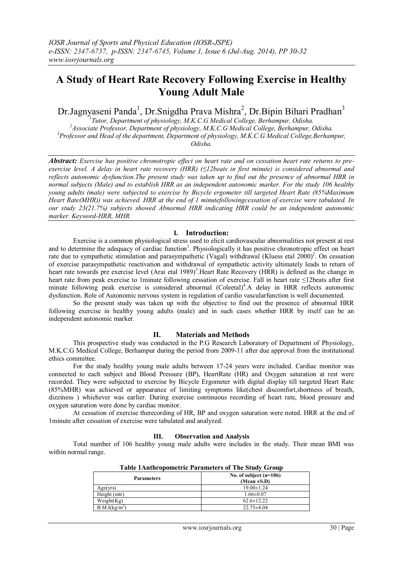# **A Study of Heart Rate Recovery Following Exercise in Healthy Young Adult Male**

Dr.Jagnyaseni Panda<sup>1</sup>, Dr.Snigdha Prava Mishra<sup>2</sup>, Dr.Bipin Bihari Pradhan<sup>3</sup>

 *Tutor, Department of physiology, M.K.C.G Medical College, Berhampur, Odisha. Associate Professor, Department of physiology, M.K.C.G Medical College, Berhampur, Odisha. Professor and Head of the department, Department of physiology, M.K.C.G Medical College,Berhampur, Odisha.*

*Abstract: Exercise has positive chronotropic effect on heart rate and on cessation heart rate returns to preexercise level. A delay in heart rate recovery (HRR) (≤12beats in first minute) is considered abnormal and reflects autonomic dysfunction.The present study was taken up to find out the presence of abnormal HRR in normal subjects (Male) and to establish HRR as an independent autonomic marker. For the study 106 healthy young adults (male) were subjected to exercise by Bicycle ergometer till targeted Heart Rate (85%Maximum Heart Rate(MHR)) was achieved. HRR at the end of 1 minutefollowingcessation of exercise were tabulated. In our study 23(21.7%) subjects showed Abnormal HRR indicating HRR could be an independent autonomic marker. Keyword-HRR, MHR*

### **I. Introduction:**

Exercise is a common physiological stress used to elicit cardiovascular abnormalities not present at rest and to determine the adequacy of cardiac function<sup>1</sup>. Physiologically it has positive chronotropic effect on heart rate due to sympathetic stimulation and parasympathetic (Vagal) withdrawal (Kluess etal  $2000$ )<sup>2</sup>. On cessation of exercise parasympathetic reactivation and withdrawal of sympathetic activity ultimately leads to return of heart rate towards pre exercise level (Arai etal 1989)<sup>3</sup>. Heart Rate Recovery (HRR) is defined as the change in heart rate from peak exercise to 1minute following cessation of exercise. Fall in heart rate ≤12beats after first minute following peak exercise is considered abnormal (Coleetal)<sup>4</sup>.A delay in HRR reflects autonomic dysfunction. Role of Autonomic nervous system in regulation of cardio vascularfunction is well documented.

So the present study was taken up with the objective to find out the presence of abnormal HRR following exercise in healthy young adults (male) and in such cases whether HRR by itself can be an independent autonomic marker.

#### **II. Materials and Methods**

This prospective study was conducted in the P.G Research Laboratory of Department of Physiology, M.K.C.G Medical College, Berhampur during the period from 2009-11 after due approval from the institutional ethics committee.

For the study healthy young male adults between 17-24 years were included. Cardiac monitor was connected to each subject and Blood Pressure (BP), HeartRate (HR) and Oxygen saturation at rest were recorded. They were subjected to exercise by Bicycle Ergometer with digital display till targeted Heart Rate (85%MHR) was achieved or appearance of limiting symptoms like(chest discomfort,shortness of breath, dizziness ) whichever was earlier. During exercise continuous recording of heart rate, blood pressure and oxygen saturation were done by cardiac monitor.

At cessation of exercise therecording of HR, BP and oxygen saturation were noted. HRR at the end of 1minute after cessation of exercise were tabulated and analyzed.

#### **III. Observation and Analysis**

Total number of 106 healthy young male adults were includes in the study. Their mean BMI was within normal range.

| Table Trailent opolitett it Tarameters of The Study Group |                                              |  |  |
|-----------------------------------------------------------|----------------------------------------------|--|--|
| <b>Parameters</b>                                         | No. of subject $(n=106)$<br>(Mean $\pm$ S.D) |  |  |
| Age(yrs)                                                  | $19.00 \pm 1.24$                             |  |  |
| Height (mtr)                                              | $1.66 \pm 0.07$                              |  |  |
| Weight(Kg)                                                | $62.6 \pm 12.22$                             |  |  |
| B.M.I(kg/m <sup>2</sup> )                                 | $22.75\pm4.04$                               |  |  |

| <b>Table 1Anthropometric Parameters of The Study Group</b> |  |  |
|------------------------------------------------------------|--|--|
|------------------------------------------------------------|--|--|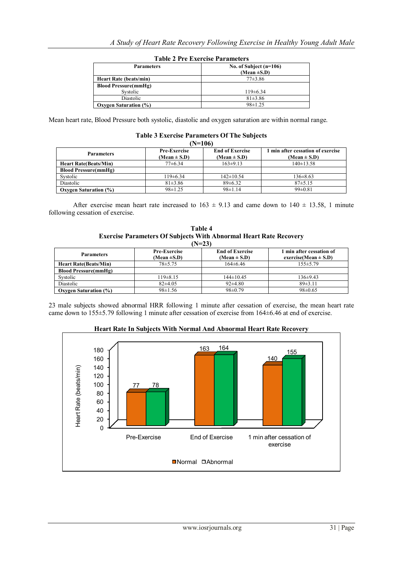| Table 2 Fee Exercise Farameters |                          |  |  |
|---------------------------------|--------------------------|--|--|
| <b>Parameters</b>               | No. of Subject $(n=106)$ |  |  |
|                                 | (Mean $\pm$ S.D)         |  |  |
| <b>Heart Rate (beats/min)</b>   | $77\pm3.86$              |  |  |
| <b>Blood Pressure(mmHg)</b>     |                          |  |  |
| Systolic                        | $119\pm 6.34$            |  |  |
| Diastolic                       | $81\pm3.86$              |  |  |
| <b>Oxygen Saturation (%)</b>    | $98 \pm 1.25$            |  |  |

## **Table 2 Pre Exercise Parameters**

Mean heart rate, Blood Pressure both systolic, diastolic and oxygen saturation are within normal range.

| (N=106)                       |                                         |                                            |                                                       |  |  |  |
|-------------------------------|-----------------------------------------|--------------------------------------------|-------------------------------------------------------|--|--|--|
| <b>Parameters</b>             | <b>Pre-Exercise</b><br>$(Mean \pm S.D)$ | <b>End of Exercise</b><br>$(Mean \pm S.D)$ | 1 min after cessation of exercise<br>$(Mean \pm S.D)$ |  |  |  |
| <b>Heart Rate (Beats/Min)</b> | $77\pm 6.34$                            | $163\pm9.13$                               | $140\pm 13.58$                                        |  |  |  |
| <b>Blood Pressure(mmHg)</b>   |                                         |                                            |                                                       |  |  |  |
| Systolic                      | $119\pm 6.34$                           | $142 \pm 10.54$                            | $136 \pm 8.63$                                        |  |  |  |
| Diastolic                     | $81\pm3.86$                             | $89\pm 6.32$                               | 87±5.15                                               |  |  |  |
| <b>Oxygen Saturation (%)</b>  | $98 \pm 1.25$                           | $98\pm1.14$                                | $99 \pm 0.81$                                         |  |  |  |

#### **Table 3 Exercise Parameters Of The Subjects**

After exercise mean heart rate increased to  $163 \pm 9.13$  and came down to  $140 \pm 13.58$ , 1 minute following cessation of exercise.

| Table 4                                                                  |  |  |
|--------------------------------------------------------------------------|--|--|
| <b>Exercise Parameters Of Subjects With Abnormal Heart Rate Recovery</b> |  |  |
| $(N=23)$                                                                 |  |  |

| <i></i> .                    |                                         |                                            |                                                    |  |  |  |
|------------------------------|-----------------------------------------|--------------------------------------------|----------------------------------------------------|--|--|--|
| <b>Parameters</b>            | <b>Pre-Exercise</b><br>(Mean $\pm$ S.D) | <b>End of Exercise</b><br>$(Mean \pm S.D)$ | min after cessation of<br>exercise(Mean $\pm$ S.D) |  |  |  |
| <b>Heart Rate Beats/Min)</b> | $78 + 5.75$                             | $164\pm 6.46$                              | $155 \pm 5.79$                                     |  |  |  |
| <b>Blood Pressure(mmHg)</b>  |                                         |                                            |                                                    |  |  |  |
| Systolic                     | $119\pm8.15$                            | $144\pm10.45$                              | $136\pm9.43$                                       |  |  |  |
| Diastolic                    | $82\pm4.05$                             | $92\pm 4.80$                               | 89±3.11                                            |  |  |  |
| <b>Oxygen Saturation (%)</b> | $98 \pm 1.56$                           | $98 \pm 0.79$                              | $98 \pm 0.65$                                      |  |  |  |

23 male subjects showed abnormal HRR following 1 minute after cessation of exercise, the mean heart rate came down to 155±5.79 following 1 minute after cessation of exercise from 164±6.46 at end of exercise.



**Heart Rate In Subjects With Normal And Abnormal Heart Rate Recovery**